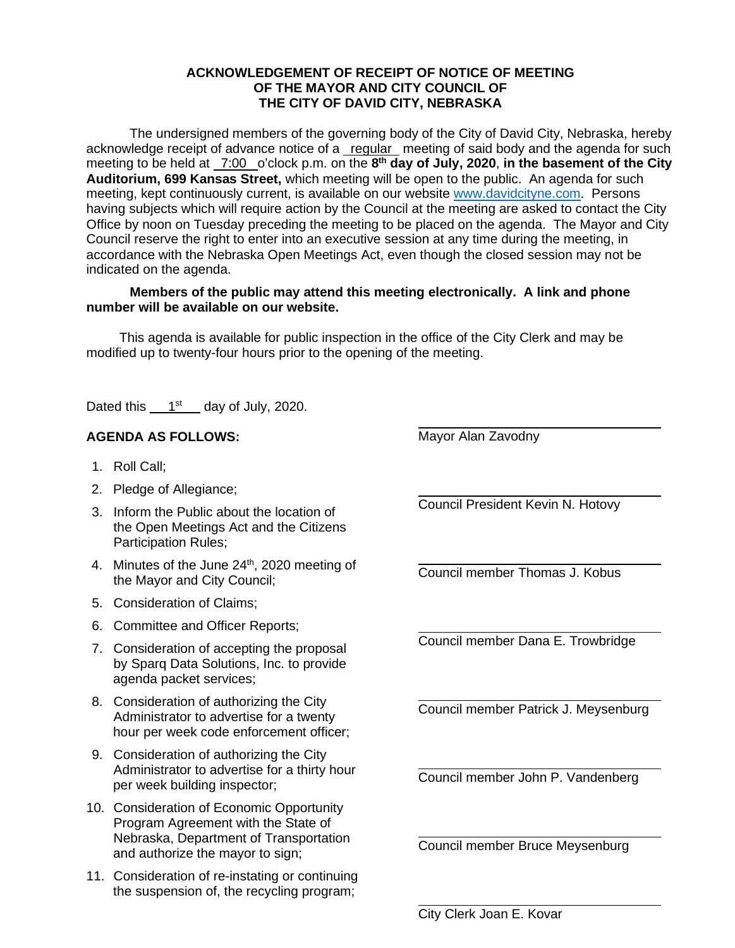## **ACKNOWLEDGEMENT OF RECEIPT OF NOTICE OF MEETING OF THE MAYOR AND CITY COUNCIL OF THE CITY OF DAVID CITY, NEBRASKA**

The undersigned members of the governing body of the City of David City, Nebraska, hereby acknowledge receipt of advance notice of a regular meeting of said body and the agenda for such meeting to be held at <u>7:00</u> o'clock p.m. on the 8<sup>th</sup> day of July, 2020, in the basement of the City **Auditorium, 699 Kansas Street,** which meeting will be open to the public. An agenda for such meeting, kept continuously current, is available on our websit[e www.davidcityne.com.](https://urldefense.proofpoint.com/v2/url?u=http-3A__www.davidcityne.com&d=DwMFAg&c=UCja3IwhyjPGYeHcG7oIbg&r=sTF4AptKcZUvAdPZH__AgXD7wYT5PTsm1dL8p3vwYO4&m=H_1JksRqSJf69XA0HV8uDjtaNsM1PhWMo-DkTNHrSaE&s=wLyFni_YrhiWLHduEQzSflZL77e5AtnnCpVJ-weajcE&e=) Persons having subjects which will require action by the Council at the meeting are asked to contact the City Office by noon on Tuesday preceding the meeting to be placed on the agenda. The Mayor and City Council reserve the right to enter into an executive session at any time during the meeting, in accordance with the Nebraska Open Meetings Act, even though the closed session may not be indicated on the agenda.

## **Members of the public may attend this meeting electronically. A link and phone number will be available on our website.**

This agenda is available for public inspection in the office of the City Clerk and may be modified up to twenty-four hours prior to the opening of the meeting.

Dated this  $1<sup>st</sup>$  day of July, 2020.

## **AGENDA AS FOLLOWS:**

- 1. Roll Call;
- 2. Pledge of Allegiance;
- 3. Inform the Public about the location of the Open Meetings Act and the Citizens Participation Rules;
- 4. Minutes of the June 24<sup>th</sup>, 2020 meeting of the Mayor and City Council;
- 5. Consideration of Claims;
- 6. Committee and Officer Reports;
- 7. Consideration of accepting the proposal by Sparq Data Solutions, Inc. to provide agenda packet services;
- 8. Consideration of authorizing the City Administrator to advertise for a twenty hour per week code enforcement officer;
- 9. Consideration of authorizing the City Administrator to advertise for a thirty hour per week building inspector;
- 10. Consideration of Economic Opportunity Program Agreement with the State of Nebraska, Department of Transportation and authorize the mayor to sign;
- 11. Consideration of re-instating or continuing the suspension of, the recycling program;

Mayor Alan Zavodny

 $\overline{a}$ 

 $\overline{a}$ 

 $\overline{a}$ 

 $\overline{a}$ 

 $\overline{a}$ 

 $\overline{a}$ 

 $\overline{a}$ 

 $\overline{a}$ 

Council President Kevin N. Hotovy

Council member Thomas J. Kobus

Council member Dana E. Trowbridge

Council member Patrick J. Meysenburg

Council member John P. Vandenberg

Council member Bruce Meysenburg

City Clerk Joan E. Kovar